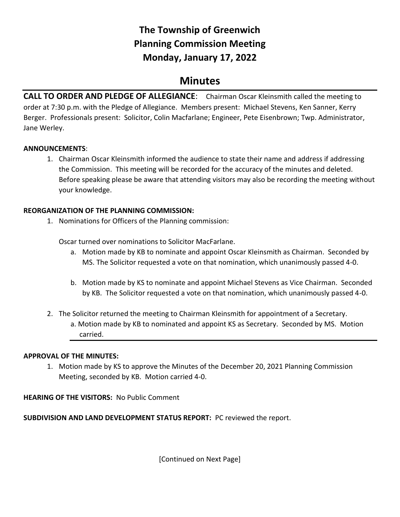# **The Township of Greenwich Planning Commission Meeting Monday, January 17, 2022**

# **Minutes**

**CALL TO ORDER AND PLEDGE OF ALLEGIANCE**: Chairman Oscar Kleinsmith called the meeting to order at 7:30 p.m. with the Pledge of Allegiance. Members present: Michael Stevens, Ken Sanner, Kerry Berger. Professionals present: Solicitor, Colin Macfarlane; Engineer, Pete Eisenbrown; Twp. Administrator, Jane Werley.

# **ANNOUNCEMENTS**:

1. Chairman Oscar Kleinsmith informed the audience to state their name and address if addressing the Commission. This meeting will be recorded for the accuracy of the minutes and deleted. Before speaking please be aware that attending visitors may also be recording the meeting without your knowledge.

#### **REORGANIZATION OF THE PLANNING COMMISSION:**

1. Nominations for Officers of the Planning commission:

Oscar turned over nominations to Solicitor MacFarlane.

- a. Motion made by KB to nominate and appoint Oscar Kleinsmith as Chairman. Seconded by MS. The Solicitor requested a vote on that nomination, which unanimously passed 4-0.
- b. Motion made by KS to nominate and appoint Michael Stevens as Vice Chairman. Seconded by KB. The Solicitor requested a vote on that nomination, which unanimously passed 4-0.
- 2. The Solicitor returned the meeting to Chairman Kleinsmith for appointment of a Secretary. a. Motion made by KB to nominated and appoint KS as Secretary. Seconded by MS. Motion carried.

# **APPROVAL OF THE MINUTES:**

1. Motion made by KS to approve the Minutes of the December 20, 2021 Planning Commission Meeting, seconded by KB. Motion carried 4-0.

# **HEARING OF THE VISITORS:** No Public Comment

**SUBDIVISION AND LAND DEVELOPMENT STATUS REPORT:** PC reviewed the report.

[Continued on Next Page]